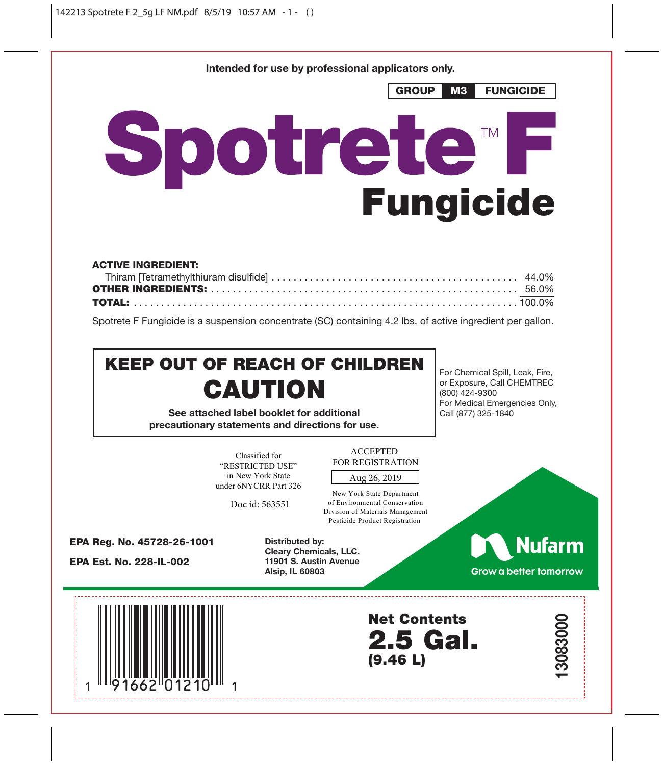**Intended for use by professional applicators only.**



| <b>ACTIVE INGREDIENT:</b> |  |
|---------------------------|--|
|                           |  |
|                           |  |
|                           |  |

Spotrete F Fungicide is a suspension concentrate (SC) containing 4.2 lbs. of active ingredient per gallon.

# KEEP OUT OF REACH OF CHILDREN **CAUTION**

**See attached label booklet for additional precautionary statements and directions for use.**

For Chemical Spill, Leak, Fire, or Exposure, Call CHEMTREC (800) 424-9300 For Medical Emergencies Only, Call (877) 325-1840

Classified for "RESTRICTED USE" in New York State under 6NYCRR Part 326

Doc id: 563551

**ACCEPTED** FOR REGISTRATION

Aug 26, 2019

New York State Department of Environmental Conservation Division of Materials Management Pesticide Product Registration

EPA Reg. No. 45728-26-1001

EPA Est. No. 228-IL-002

**Distributed by: Cleary Chemicals, LLC. 11901 S. Austin Avenue Alsip, IL 60803**

**Nufarm** 

**13083000**

Grow a better tomorrow



Net Contents 2.5 Gal. (9.46 L)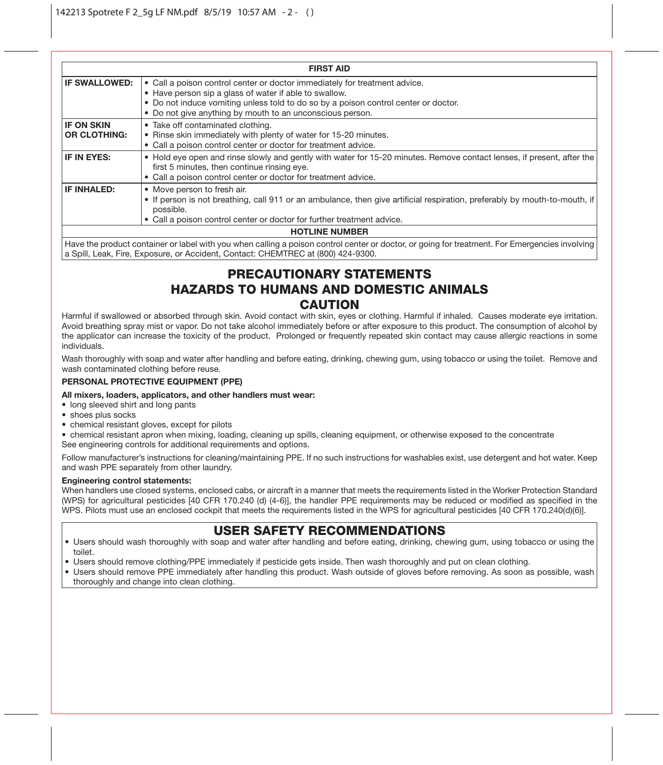| <b>FIRST AID</b>                         |                                                                                                                                                                                                                                                                                          |  |
|------------------------------------------|------------------------------------------------------------------------------------------------------------------------------------------------------------------------------------------------------------------------------------------------------------------------------------------|--|
| <b>IF SWALLOWED:</b>                     | • Call a poison control center or doctor immediately for treatment advice.<br>• Have person sip a glass of water if able to swallow.<br>• Do not induce vomiting unless told to do so by a poison control center or doctor.<br>• Do not give anything by mouth to an unconscious person. |  |
| <b>IF ON SKIN</b><br><b>OR CLOTHING:</b> | • Take off contaminated clothing.<br>• Rinse skin immediately with plenty of water for 15-20 minutes.<br>• Call a poison control center or doctor for treatment advice.                                                                                                                  |  |
| IF IN EYES:                              | . Hold eye open and rinse slowly and gently with water for 15-20 minutes. Remove contact lenses, if present, after the<br>first 5 minutes, then continue rinsing eye.<br>• Call a poison control center or doctor for treatment advice.                                                  |  |
| IF INHALED:                              | • Move person to fresh air.<br>• If person is not breathing, call 911 or an ambulance, then give artificial respiration, preferably by mouth-to-mouth, if<br>possible.<br>• Call a poison control center or doctor for further treatment advice.                                         |  |
| <b>HOTLINE NUMBER</b>                    |                                                                                                                                                                                                                                                                                          |  |
|                                          | Have the product container or label with you when calling a poison control center or doctor, or going for treatment. For Emergencies involving                                                                                                                                           |  |

a Spill, Leak, Fire, Exposure, or Accident, Contact: CHEMTREC at (800) 424-9300.

# PRECAUTIONARY STATEMENTS HAZARDS TO HUMANS AND DOMESTIC ANIMALS **CAUTION**

Harmful if swallowed or absorbed through skin. Avoid contact with skin, eyes or clothing. Harmful if inhaled. Causes moderate eye irritation. Avoid breathing spray mist or vapor. Do not take alcohol immediately before or after exposure to this product. The consumption of alcohol by the applicator can increase the toxicity of the product. Prolonged or frequently repeated skin contact may cause allergic reactions in some individuals.

Wash thoroughly with soap and water after handling and before eating, drinking, chewing gum, using tobacco or using the toilet. Remove and wash contaminated clothing before reuse.

#### **PERSONAL PROTECTIVE EQUIPMENT (PPE)**

#### **All mixers, loaders, applicators, and other handlers must wear:**

- long sleeved shirt and long pants
- shoes plus socks
- chemical resistant gloves, except for pilots

• chemical resistant apron when mixing, loading, cleaning up spills, cleaning equipment, or otherwise exposed to the concentrate See engineering controls for additional requirements and options.

Follow manufacturer's instructions for cleaning/maintaining PPE. If no such instructions for washables exist, use detergent and hot water. Keep and wash PPE separately from other laundry.

#### **Engineering control statements:**

When handlers use closed systems, enclosed cabs, or aircraft in a manner that meets the requirements listed in the Worker Protection Standard (WPS) for agricultural pesticides [40 CFR 170.240 (d) (4-6)], the handler PPE requirements may be reduced or modified as specified in the WPS. Pilots must use an enclosed cockpit that meets the requirements listed in the WPS for agricultural pesticides [40 CFR 170.240(d)(6)].

### USER SAFETY RECOMMENDATIONS

- Users should wash thoroughly with soap and water after handling and before eating, drinking, chewing gum, using tobacco or using the toilet.
- Users should remove clothing/PPE immediately if pesticide gets inside. Then wash thoroughly and put on clean clothing.
- Users should remove PPE immediately after handling this product. Wash outside of gloves before removing. As soon as possible, wash thoroughly and change into clean clothing.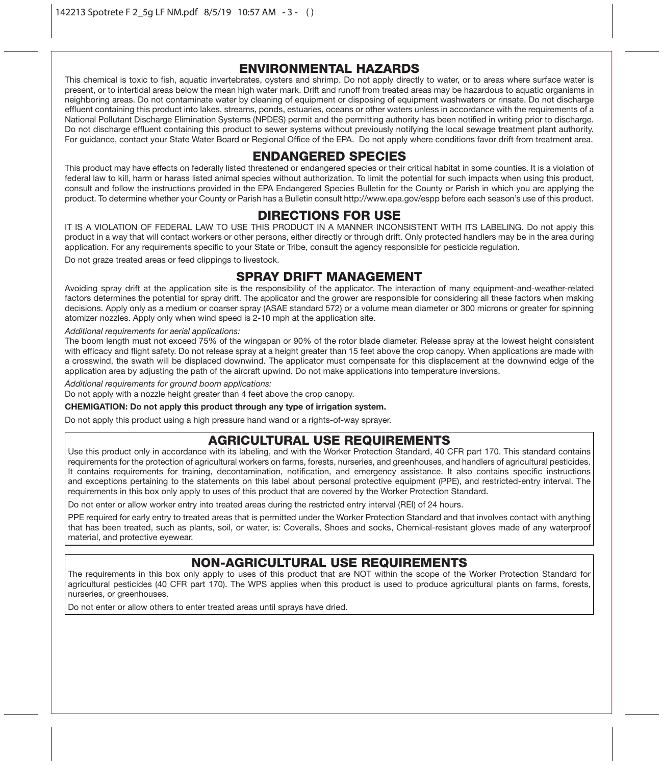## ENVIRONMENTAL HAZARDS

This chemical is toxic to fish, aquatic invertebrates, oysters and shrimp. Do not apply directly to water, or to areas where surface water is present, or to intertidal areas below the mean high water mark. Drift and runoff from treated areas may be hazardous to aquatic organisms in neighboring areas. Do not contaminate water by cleaning of equipment or disposing of equipment washwaters or rinsate. Do not discharge effluent containing this product into lakes, streams, ponds, estuaries, oceans or other waters unless in accordance with the requirements of a National Pollutant Discharge Elimination Systems (NPDES) permit and the permitting authority has been notified in writing prior to discharge. Do not discharge effluent containing this product to sewer systems without previously notifying the local sewage treatment plant authority. For guidance, contact your State Water Board or Regional Office of the EPA. Do not apply where conditions favor drift from treatment area.

## ENDANGERED SPECIES

This product may have effects on federally listed threatened or endangered species or their critical habitat in some counties. It is a violation of federal law to kill, harm or harass listed animal species without authorization. To limit the potential for such impacts when using this product, consult and follow the instructions provided in the EPA Endangered Species Bulletin for the County or Parish in which you are applying the product. To determine whether your County or Parish has a Bulletin consult http://www.epa.gov/espp before each season's use of this product.

## DIRECTIONS FOR USE

IT IS A VIOLATION OF FEDERAL LAW TO USE THIS PRODUCT IN A MANNER INCONSISTENT WITH ITS LABELING. Do not apply this product in a way that will contact workers or other persons, either directly or through drift. Only protected handlers may be in the area during application. For any requirements specific to your State or Tribe, consult the agency responsible for pesticide regulation.

Do not graze treated areas or feed clippings to livestock.

## SPRAY DRIFT MANAGEMENT

Avoiding spray drift at the application site is the responsibility of the applicator. The interaction of many equipment-and-weather-related factors determines the potential for spray drift. The applicator and the grower are responsible for considering all these factors when making decisions. Apply only as a medium or coarser spray (ASAE standard 572) or a volume mean diameter or 300 microns or greater for spinning atomizer nozzles. Apply only when wind speed is 2-10 mph at the application site.

#### *Additional requirements for aerial applications:*

The boom length must not exceed 75% of the wingspan or 90% of the rotor blade diameter. Release spray at the lowest height consistent with efficacy and flight safety. Do not release spray at a height greater than 15 feet above the crop canopy. When applications are made with a crosswind, the swath will be displaced downwind. The applicator must compensate for this displacement at the downwind edge of the application area by adjusting the path of the aircraft upwind. Do not make applications into temperature inversions.

*Additional requirements for ground boom applications:*

Do not apply with a nozzle height greater than 4 feet above the crop canopy.

#### **CHEMIGATION: Do not apply this product through any type of irrigation system.**

Do not apply this product using a high pressure hand wand or a rights-of-way sprayer.

# AGRICULTURAL USE REQUIREMENTS

Use this product only in accordance with its labeling, and with the Worker Protection Standard, 40 CFR part 170. This standard contains requirements for the protection of agricultural workers on farms, forests, nurseries, and greenhouses, and handlers of agricultural pesticides. It contains requirements for training, decontamination, notification, and emergency assistance. It also contains specific instructions and exceptions pertaining to the statements on this label about personal protective equipment (PPE), and restricted-entry interval. The requirements in this box only apply to uses of this product that are covered by the Worker Protection Standard.

Do not enter or allow worker entry into treated areas during the restricted entry interval (REI) of 24 hours.

PPE required for early entry to treated areas that is permitted under the Worker Protection Standard and that involves contact with anything that has been treated, such as plants, soil, or water, is: Coveralls, Shoes and socks, Chemical-resistant gloves made of any waterproof material, and protective eyewear.

# NON-AGRICULTURAL USE REQUIREMENTS

The requirements in this box only apply to uses of this product that are NOT within the scope of the Worker Protection Standard for agricultural pesticides (40 CFR part 170). The WPS applies when this product is used to produce agricultural plants on farms, forests, nurseries, or greenhouses.

Do not enter or allow others to enter treated areas until sprays have dried.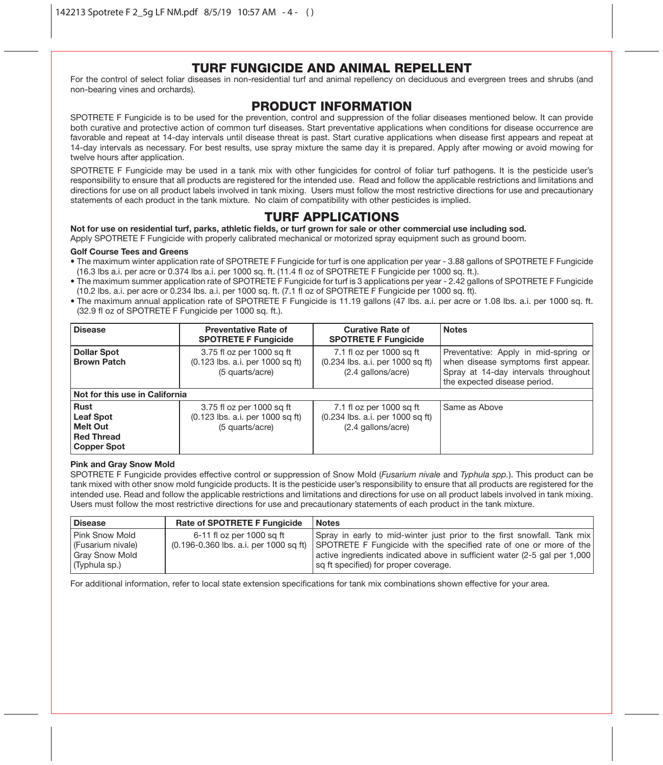## TURF FUNGICIDE AND ANIMAL REPELLENT

For the control of select foliar diseases in non-residential turf and animal repellency on deciduous and evergreen trees and shrubs (and non-bearing vines and orchards).

## PRODUCT INFORMATION

SPOTRETE F Fungicide is to be used for the prevention, control and suppression of the foliar diseases mentioned below. It can provide both curative and protective action of common turf diseases. Start preventative applications when conditions for disease occurrence are favorable and repeat at 14-day intervals until disease threat is past. Start curative applications when disease first appears and repeat at 14-day intervals as necessary. For best results, use spray mixture the same day it is prepared. Apply after mowing or avoid mowing for twelve hours after application

SPOTRETE F Fungicide may be used in a tank mix with other fungicides for control of foliar turf pathogens. It is the pesticide user's responsibility to ensure that all products are registered for the intended use. Read and follow the applicable restrictions and limitations and directions for use on all product labels involved in tank mixing. Users must follow the most restrictive directions for use and precautionary statements of each product in the tank mixture. No claim of compatibility with other pesticides is implied.

## TURF APPLICATIONS

**Not for use on residential turf, parks, athletic fields, or turf grown for sale or other commercial use including sod.**

Apply SPOTRETE F Fungicide with properly calibrated mechanical or motorized spray equipment such as ground boom.

#### **Golf Course Tees and Greens**

- The maximum winter application rate of SPOTRETE F Fungicide for turf is one application per year 3.88 gallons of SPOTRETE F Fungicide (16.3 lbs a.i. per acre or 0.374 lbs a.i. per 1000 sq. ft. (11.4 fl oz of SPOTRETE F Fungicide per 1000 sq. ft.).
- The maximum summer application rate of SPOTRETE F Fungicide for turf is 3 applications per year 2.42 gallons of SPOTRETE F Fungicide (10.2 lbs. a.i. per acre or 0.234 lbs. a.i. per 1000 sq. ft. (7.1 fl oz of SPOTRETE F Fungicide per 1000 sq. ft).
- The maximum annual application rate of SPOTRETE F Fungicide is 11.19 gallons (47 lbs. a.i. per acre or 1.08 lbs. a.i. per 1000 sq. ft. (32.9 fl oz of SPOTRETE F Fungicide per 1000 sq. ft.).

| <b>Disease</b>                                                    | <b>Preventative Rate of</b><br><b>SPOTRETE F Fungicide</b>                       | <b>Curative Rate of</b><br><b>SPOTRETE F Fungicide</b>                             | <b>Notes</b>                                                                                                                                        |  |
|-------------------------------------------------------------------|----------------------------------------------------------------------------------|------------------------------------------------------------------------------------|-----------------------------------------------------------------------------------------------------------------------------------------------------|--|
| <b>Dollar Spot</b><br><b>Brown Patch</b>                          | 3.75 fl oz per 1000 sq ft<br>(0.123 lbs. a.i. per 1000 sq ft)<br>(5 quarts/acre) | 7.1 fl oz per 1000 sq ft<br>(0.234 lbs. a.i. per 1000 sq ft)<br>(2.4 gallons/acre) | Preventative: Apply in mid-spring or<br>when disease symptoms first appear.<br>Spray at 14-day intervals throughout<br>the expected disease period. |  |
| Not for this use in California                                    |                                                                                  |                                                                                    |                                                                                                                                                     |  |
| Rust<br>Leaf Spot<br>Melt Out<br><b>Red Thread</b><br>Copper Spot | 3.75 fl oz per 1000 sq ft<br>(0.123 lbs. a.i. per 1000 sq ft)<br>(5 quarts/acre) | 7.1 fl oz per 1000 sq ft<br>(0.234 lbs. a.i. per 1000 sq ft)<br>(2.4 gallons/acre) | Same as Above                                                                                                                                       |  |

#### **Pink and Gray Snow Mold**

SPOTRETE F Fungicide provides effective control or suppression of Snow Mold (*Fusarium nivale* and *Typhula spp.*). This product can be tank mixed with other snow mold fungicide products. It is the pesticide user's responsibility to ensure that all products are registered for the intended use. Read and follow the applicable restrictions and limitations and directions for use on all product labels involved in tank mixing. Users must follow the most restrictive directions for use and precautionary statements of each product in the tank mixture.

| <b>Disease</b>      | <b>Rate of SPOTRETE F Fungicide</b> | <b>Notes</b>                                                                                                |
|---------------------|-------------------------------------|-------------------------------------------------------------------------------------------------------------|
| Pink Snow Mold      | 6-11 fl oz per 1000 sa ft           | Spray in early to mid-winter just prior to the first snowfall. Tank mix                                     |
| l (Fusarium nivale) |                                     | $(0.196-0.360$ lbs. a.i. per 1000 sq ft) SPOTRETE F Fungicide with the specified rate of one or more of the |
| Gray Snow Mold      |                                     | active ingredients indicated above in sufficient water (2-5 gal per 1,000)                                  |
| (Typhula sp.)       |                                     | sq ft specified) for proper coverage.                                                                       |

For additional information, refer to local state extension specifications for tank mix combinations shown effective for your area.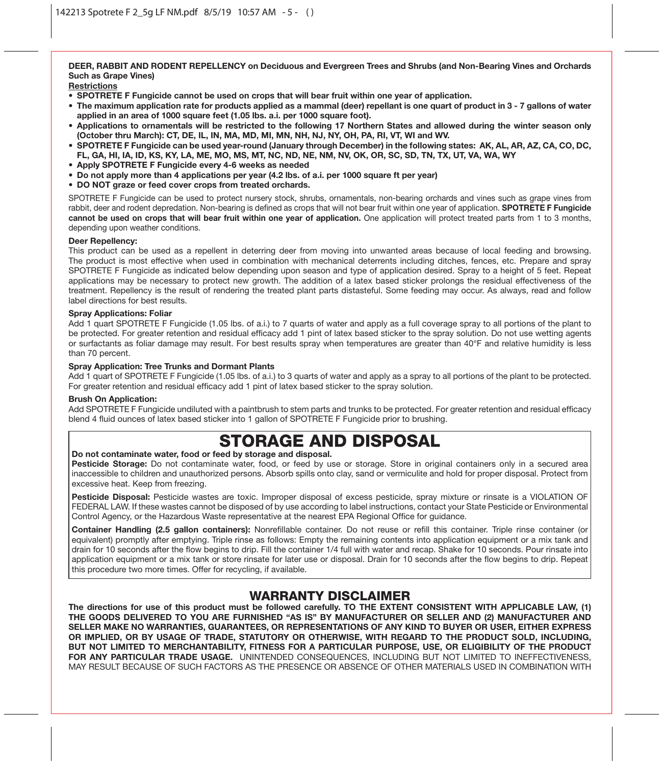**DEER, RABBIT AND RODENT REPELLENCY on Deciduous and Evergreen Trees and Shrubs (and Non-Bearing Vines and Orchards Such as Grape Vines)**

**Restrictions**

- **SPOTRETE F Fungicide cannot be used on crops that will bear fruit within one year of application.**
- **The maximum application rate for products applied as a mammal (deer) repellant is one quart of product in 3 7 gallons of water applied in an area of 1000 square feet (1.05 lbs. a.i. per 1000 square foot).**
- **Applications to ornamentals will be restricted to the following 17 Northern States and allowed during the winter season only (October thru March): CT, DE, IL, IN, MA, MD, MI, MN, NH, NJ, NY, OH, PA, RI, VT, WI and WV.**
- **SPOTRETE F Fungicide can be used year-round (January through December) in the following states: AK, AL, AR, AZ, CA, CO, DC, FL, GA, HI, IA, ID, KS, KY, LA, ME, MO, MS, MT, NC, ND, NE, NM, NV, OK, OR, SC, SD, TN, TX, UT, VA, WA, WY**
- **Apply SPOTRETE F Fungicide every 4-6 weeks as needed**
- **Do not apply more than 4 applications per year (4.2 lbs. of a.i. per 1000 square ft per year)**
- **DO NOT graze or feed cover crops from treated orchards.**

SPOTRETE F Fungicide can be used to protect nursery stock, shrubs, ornamentals, non-bearing orchards and vines such as grape vines from rabbit, deer and rodent depredation. Non-bearing is defined as crops that will not bear fruit within one year of application. **SPOTRETE F Fungicide cannot be used on crops that will bear fruit within one year of application.** One application will protect treated parts from 1 to 3 months, depending upon weather conditions.

#### **Deer Repellency:**

This product can be used as a repellent in deterring deer from moving into unwanted areas because of local feeding and browsing. The product is most effective when used in combination with mechanical deterrents including ditches, fences, etc. Prepare and spray SPOTRETE F Fungicide as indicated below depending upon season and type of application desired. Spray to a height of 5 feet. Repeat applications may be necessary to protect new growth. The addition of a latex based sticker prolongs the residual effectiveness of the treatment. Repellency is the result of rendering the treated plant parts distasteful. Some feeding may occur. As always, read and follow label directions for best results.

#### **Spray Applications: Foliar**

Add 1 quart SPOTRETE F Fungicide (1.05 lbs. of a.i.) to 7 quarts of water and apply as a full coverage spray to all portions of the plant to be protected. For greater retention and residual efficacy add 1 pint of latex based sticker to the spray solution. Do not use wetting agents or surfactants as foliar damage may result. For best results spray when temperatures are greater than 40°F and relative humidity is less than 70 percent.

#### **Spray Application: Tree Trunks and Dormant Plants**

Add 1 quart of SPOTRETE F Fungicide (1.05 lbs. of a.i.) to 3 quarts of water and apply as a spray to all portions of the plant to be protected. For greater retention and residual efficacy add 1 pint of latex based sticker to the spray solution.

#### **Brush On Application:**

Add SPOTRETE F Fungicide undiluted with a paintbrush to stem parts and trunks to be protected. For greater retention and residual efficacy blend 4 fluid ounces of latex based sticker into 1 gallon of SPOTRETE F Fungicide prior to brushing.

# STORAGE AND DISPOSAL

#### **Do not contaminate water, food or feed by storage and disposal.**

**Pesticide Storage:** Do not contaminate water, food, or feed by use or storage. Store in original containers only in a secured area inaccessible to children and unauthorized persons. Absorb spills onto clay, sand or vermiculite and hold for proper disposal. Protect from excessive heat. Keep from freezing.

**Pesticide Disposal:** Pesticide wastes are toxic. Improper disposal of excess pesticide, spray mixture or rinsate is a VIOLATION OF FEDERAL LAW. If these wastes cannot be disposed of by use according to label instructions, contact your State Pesticide or Environmental Control Agency, or the Hazardous Waste representative at the nearest EPA Regional Office for guidance.

**Container Handling (2.5 gallon containers):** Nonrefillable container. Do not reuse or refill this container. Triple rinse container (or equivalent) promptly after emptying. Triple rinse as follows: Empty the remaining contents into application equipment or a mix tank and drain for 10 seconds after the flow begins to drip. Fill the container 1/4 full with water and recap. Shake for 10 seconds. Pour rinsate into application equipment or a mix tank or store rinsate for later use or disposal. Drain for 10 seconds after the flow begins to drip. Repeat this procedure two more times. Offer for recycling, if available.

### WARRANTY DISCLAIMER

**The directions for use of this product must be followed carefully. TO THE EXTENT CONSISTENT WITH APPLICABLE LAW, (1) THE GOODS DELIVERED TO YOU ARE FURNISHED "AS IS" BY MANUFACTURER OR SELLER AND (2) MANUFACTURER AND SELLER MAKE NO WARRANTIES, GUARANTEES, OR REPRESENTATIONS OF ANY KIND TO BUYER OR USER, EITHER EXPRESS OR IMPLIED, OR BY USAGE OF TRADE, STATUTORY OR OTHERWISE, WITH REGARD TO THE PRODUCT SOLD, INCLUDING, BUT NOT LIMITED TO MERCHANTABILITY, FITNESS FOR A PARTICULAR PURPOSE, USE, OR ELIGIBILITY OF THE PRODUCT FOR ANY PARTICULAR TRADE USAGE.** UNINTENDED CONSEQUENCES, INCLUDING BUT NOT LIMITED TO INEFFECTIVENESS, MAY RESULT BECAUSE OF SUCH FACTORS AS THE PRESENCE OR ABSENCE OF OTHER MATERIALS USED IN COMBINATION WITH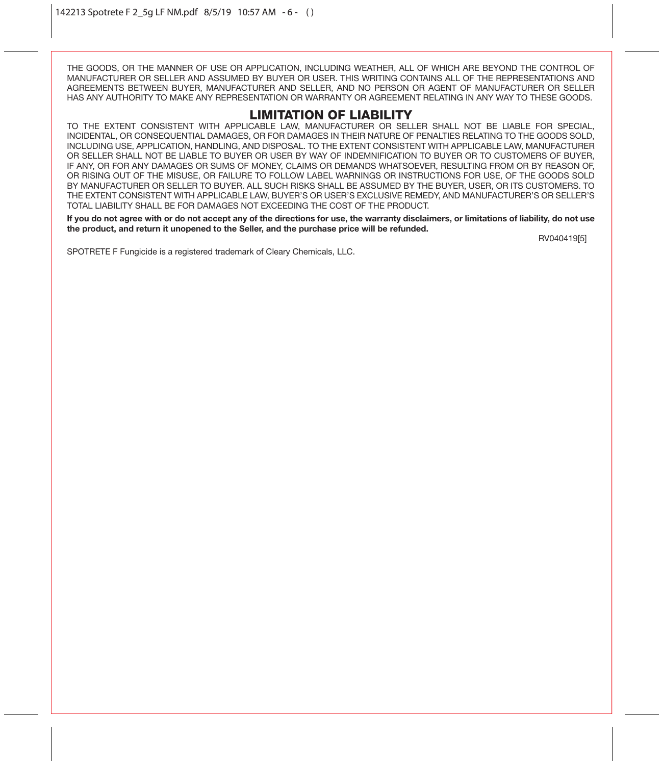THE GOODS, OR THE MANNER OF USE OR APPLICATION, INCLUDING WEATHER, ALL OF WHICH ARE BEYOND THE CONTROL OF MANUFACTURER OR SELLER AND ASSUMED BY BUYER OR USER. THIS WRITING CONTAINS ALL OF THE REPRESENTATIONS AND AGREEMENTS BETWEEN BUYER, MANUFACTURER AND SELLER, AND NO PERSON OR AGENT OF MANUFACTURER OR SELLER HAS ANY AUTHORITY TO MAKE ANY REPRESENTATION OR WARRANTY OR AGREEMENT RELATING IN ANY WAY TO THESE GOODS.

### LIMITATION OF LIABILITY

TO THE EXTENT CONSISTENT WITH APPLICABLE LAW, MANUFACTURER OR SELLER SHALL NOT BE LIABLE FOR SPECIAL, INCIDENTAL, OR CONSEQUENTIAL DAMAGES, OR FOR DAMAGES IN THEIR NATURE OF PENALTIES RELATING TO THE GOODS SOLD, INCLUDING USE, APPLICATION, HANDLING, AND DISPOSAL. TO THE EXTENT CONSISTENT WITH APPLICABLE LAW, MANUFACTURER OR SELLER SHALL NOT BE LIABLE TO BUYER OR USER BY WAY OF INDEMNIFICATION TO BUYER OR TO CUSTOMERS OF BUYER, IF ANY, OR FOR ANY DAMAGES OR SUMS OF MONEY, CLAIMS OR DEMANDS WHATSOEVER, RESULTING FROM OR BY REASON OF, OR RISING OUT OF THE MISUSE, OR FAILURE TO FOLLOW LABEL WARNINGS OR INSTRUCTIONS FOR USE, OF THE GOODS SOLD BY MANUFACTURER OR SELLER TO BUYER. ALL SUCH RISKS SHALL BE ASSUMED BY THE BUYER, USER, OR ITS CUSTOMERS. TO THE EXTENT CONSISTENT WITH APPLICABLE LAW, BUYER'S OR USER'S EXCLUSIVE REMEDY, AND MANUFACTURER'S OR SELLER'S TOTAL LIABILITY SHALL BE FOR DAMAGES NOT EXCEEDING THE COST OF THE PRODUCT.

**If you do not agree with or do not accept any of the directions for use, the warranty disclaimers, or limitations of liability, do not use the product, and return it unopened to the Seller, and the purchase price will be refunded.** 

RV040419[5]

SPOTRETE F Fungicide is a registered trademark of Cleary Chemicals, LLC.